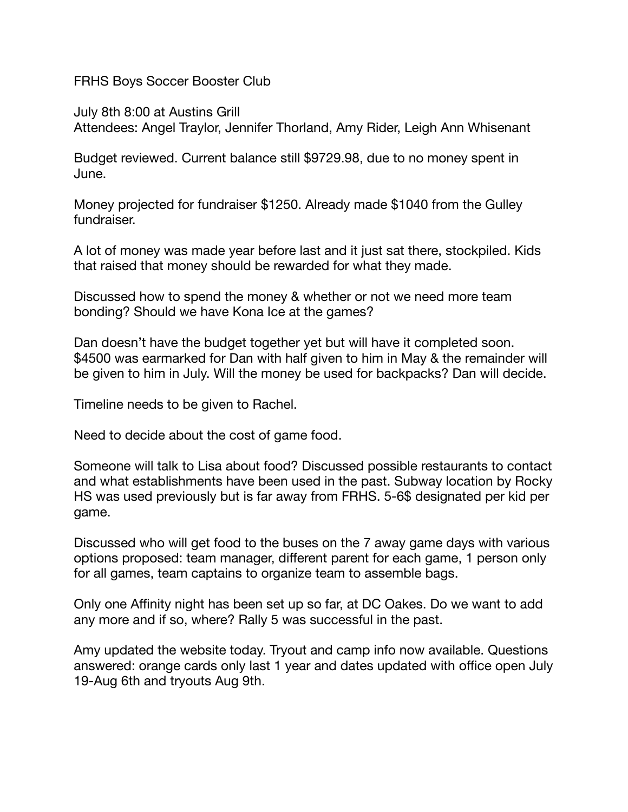FRHS Boys Soccer Booster Club

July 8th 8:00 at Austins Grill Attendees: Angel Traylor, Jennifer Thorland, Amy Rider, Leigh Ann Whisenant

Budget reviewed. Current balance still \$9729.98, due to no money spent in June.

Money projected for fundraiser \$1250. Already made \$1040 from the Gulley fundraiser.

A lot of money was made year before last and it just sat there, stockpiled. Kids that raised that money should be rewarded for what they made.

Discussed how to spend the money & whether or not we need more team bonding? Should we have Kona Ice at the games?

Dan doesn't have the budget together yet but will have it completed soon. \$4500 was earmarked for Dan with half given to him in May & the remainder will be given to him in July. Will the money be used for backpacks? Dan will decide.

Timeline needs to be given to Rachel.

Need to decide about the cost of game food.

Someone will talk to Lisa about food? Discussed possible restaurants to contact and what establishments have been used in the past. Subway location by Rocky HS was used previously but is far away from FRHS. 5-6\$ designated per kid per game.

Discussed who will get food to the buses on the 7 away game days with various options proposed: team manager, different parent for each game, 1 person only for all games, team captains to organize team to assemble bags.

Only one Affinity night has been set up so far, at DC Oakes. Do we want to add any more and if so, where? Rally 5 was successful in the past.

Amy updated the website today. Tryout and camp info now available. Questions answered: orange cards only last 1 year and dates updated with office open July 19-Aug 6th and tryouts Aug 9th.